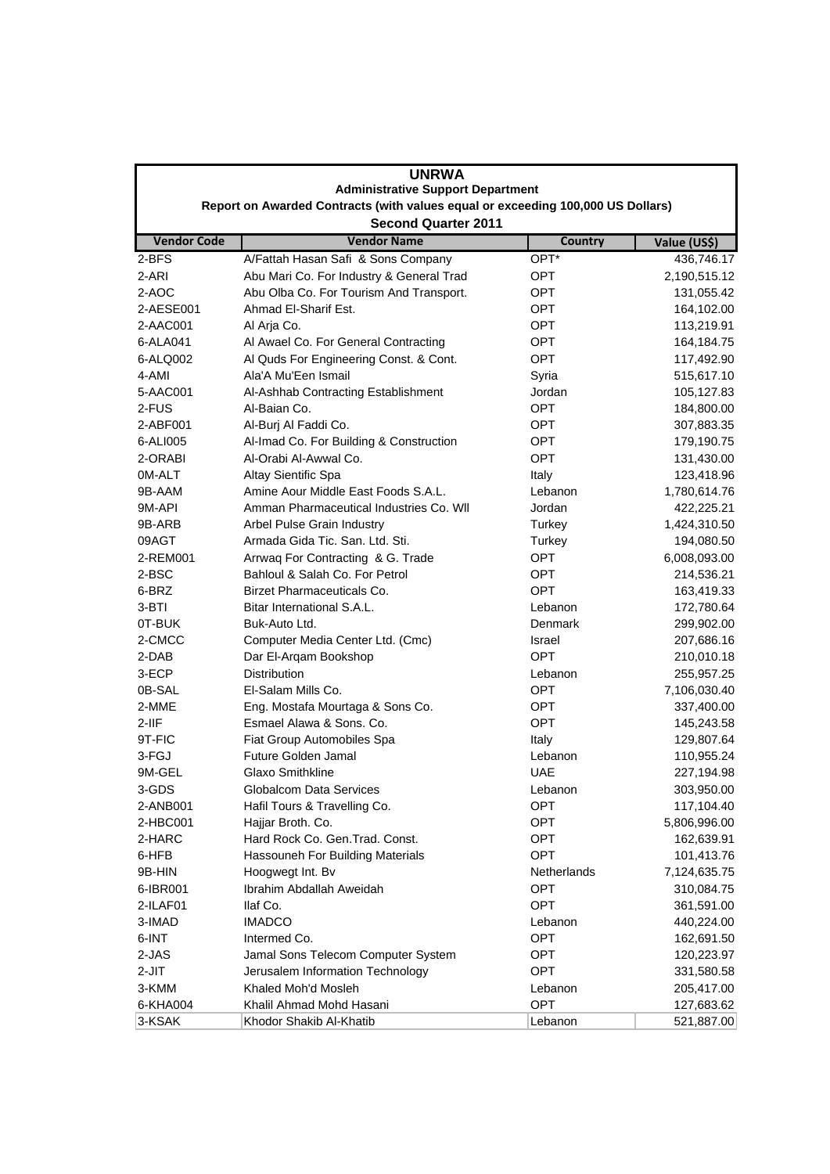| <b>UNRWA</b><br><b>Administrative Support Department</b><br>Report on Awarded Contracts (with values equal or exceeding 100,000 US Dollars) |                                          |             |              |  |  |                            |                    |                |              |  |
|---------------------------------------------------------------------------------------------------------------------------------------------|------------------------------------------|-------------|--------------|--|--|----------------------------|--------------------|----------------|--------------|--|
|                                                                                                                                             |                                          |             |              |  |  | <b>Second Quarter 2011</b> |                    |                |              |  |
|                                                                                                                                             |                                          |             |              |  |  | <b>Vendor Code</b>         | <b>Vendor Name</b> | <b>Country</b> | Value (US\$) |  |
| 2-BFS                                                                                                                                       | A/Fattah Hasan Safi & Sons Company       | OPT*        | 436,746.17   |  |  |                            |                    |                |              |  |
| 2-ARI                                                                                                                                       | Abu Mari Co. For Industry & General Trad | <b>OPT</b>  | 2,190,515.12 |  |  |                            |                    |                |              |  |
| 2-AOC                                                                                                                                       | Abu Olba Co. For Tourism And Transport.  | OPT         | 131,055.42   |  |  |                            |                    |                |              |  |
| 2-AESE001                                                                                                                                   | Ahmad El-Sharif Est.                     | <b>OPT</b>  | 164,102.00   |  |  |                            |                    |                |              |  |
| 2-AAC001                                                                                                                                    | Al Arja Co.                              | <b>OPT</b>  | 113,219.91   |  |  |                            |                    |                |              |  |
| 6-ALA041                                                                                                                                    | Al Awael Co. For General Contracting     | OPT         | 164,184.75   |  |  |                            |                    |                |              |  |
| 6-ALQ002                                                                                                                                    | Al Quds For Engineering Const. & Cont.   | OPT         | 117,492.90   |  |  |                            |                    |                |              |  |
| 4-AMI                                                                                                                                       | Ala'A Mu'Een Ismail                      | Syria       | 515,617.10   |  |  |                            |                    |                |              |  |
| 5-AAC001                                                                                                                                    | Al-Ashhab Contracting Establishment      | Jordan      | 105,127.83   |  |  |                            |                    |                |              |  |
| 2-FUS                                                                                                                                       | Al-Baian Co.                             | OPT         | 184,800.00   |  |  |                            |                    |                |              |  |
| 2-ABF001                                                                                                                                    | Al-Burj Al Faddi Co.                     | <b>OPT</b>  | 307,883.35   |  |  |                            |                    |                |              |  |
| 6-ALI005                                                                                                                                    | Al-Imad Co. For Building & Construction  | <b>OPT</b>  | 179,190.75   |  |  |                            |                    |                |              |  |
| 2-ORABI                                                                                                                                     | Al-Orabi Al-Awwal Co.                    | <b>OPT</b>  | 131,430.00   |  |  |                            |                    |                |              |  |
| 0M-ALT                                                                                                                                      | Altay Sientific Spa                      | Italy       | 123,418.96   |  |  |                            |                    |                |              |  |
| 9B-AAM                                                                                                                                      | Amine Aour Middle East Foods S.A.L.      | Lebanon     | 1,780,614.76 |  |  |                            |                    |                |              |  |
| 9M-API                                                                                                                                      | Amman Pharmaceutical Industries Co. WII  | Jordan      | 422,225.21   |  |  |                            |                    |                |              |  |
| 9B-ARB                                                                                                                                      | Arbel Pulse Grain Industry               | Turkey      | 1,424,310.50 |  |  |                            |                    |                |              |  |
| 09AGT                                                                                                                                       | Armada Gida Tic. San. Ltd. Sti.          | Turkey      | 194,080.50   |  |  |                            |                    |                |              |  |
| 2-REM001                                                                                                                                    | Arrwag For Contracting & G. Trade        | OPT         | 6,008,093.00 |  |  |                            |                    |                |              |  |
| 2-BSC                                                                                                                                       | Bahloul & Salah Co. For Petrol           | OPT         | 214,536.21   |  |  |                            |                    |                |              |  |
| 6-BRZ                                                                                                                                       | Birzet Pharmaceuticals Co.               | OPT         | 163,419.33   |  |  |                            |                    |                |              |  |
| 3-BTI                                                                                                                                       | Bitar International S.A.L.               | Lebanon     | 172,780.64   |  |  |                            |                    |                |              |  |
| 0T-BUK                                                                                                                                      | Buk-Auto Ltd.                            | Denmark     | 299,902.00   |  |  |                            |                    |                |              |  |
| 2-CMCC                                                                                                                                      | Computer Media Center Ltd. (Cmc)         | Israel      | 207,686.16   |  |  |                            |                    |                |              |  |
| 2-DAB                                                                                                                                       | Dar El-Arqam Bookshop                    | <b>OPT</b>  | 210,010.18   |  |  |                            |                    |                |              |  |
| 3-ECP                                                                                                                                       | <b>Distribution</b>                      | Lebanon     | 255,957.25   |  |  |                            |                    |                |              |  |
| 0B-SAL                                                                                                                                      | El-Salam Mills Co.                       | OPT         | 7,106,030.40 |  |  |                            |                    |                |              |  |
| 2-MME                                                                                                                                       | Eng. Mostafa Mourtaga & Sons Co.         | <b>OPT</b>  | 337,400.00   |  |  |                            |                    |                |              |  |
| $2-IIF$                                                                                                                                     | Esmael Alawa & Sons. Co.                 | OPT         | 145,243.58   |  |  |                            |                    |                |              |  |
| 9T-FIC                                                                                                                                      | Fiat Group Automobiles Spa               | Italy       | 129,807.64   |  |  |                            |                    |                |              |  |
| 3-FGJ                                                                                                                                       | Future Golden Jamal                      | Lebanon     | 110,955.24   |  |  |                            |                    |                |              |  |
| 9M-GEL                                                                                                                                      | <b>Glaxo Smithkline</b>                  | <b>UAE</b>  | 227,194.98   |  |  |                            |                    |                |              |  |
| 3-GDS                                                                                                                                       | <b>Globalcom Data Services</b>           | Lebanon     | 303,950.00   |  |  |                            |                    |                |              |  |
| 2-ANB001                                                                                                                                    | Hafil Tours & Travelling Co.             | <b>OPT</b>  | 117,104.40   |  |  |                            |                    |                |              |  |
| 2-HBC001                                                                                                                                    | Hajjar Broth. Co.                        | OPT         | 5,806,996.00 |  |  |                            |                    |                |              |  |
| 2-HARC                                                                                                                                      | Hard Rock Co. Gen. Trad. Const.          | <b>OPT</b>  | 162,639.91   |  |  |                            |                    |                |              |  |
| 6-HFB                                                                                                                                       | Hassouneh For Building Materials         | <b>OPT</b>  | 101,413.76   |  |  |                            |                    |                |              |  |
| 9B-HIN                                                                                                                                      | Hoogwegt Int. Bv                         | Netherlands | 7,124,635.75 |  |  |                            |                    |                |              |  |
| 6-IBR001                                                                                                                                    | Ibrahim Abdallah Aweidah                 | <b>OPT</b>  | 310,084.75   |  |  |                            |                    |                |              |  |
| 2-ILAF01                                                                                                                                    | llaf Co.                                 | <b>OPT</b>  | 361,591.00   |  |  |                            |                    |                |              |  |
| 3-IMAD                                                                                                                                      | <b>IMADCO</b>                            | Lebanon     | 440,224.00   |  |  |                            |                    |                |              |  |
| 6-INT                                                                                                                                       | Intermed Co.                             | <b>OPT</b>  | 162,691.50   |  |  |                            |                    |                |              |  |
| 2-JAS                                                                                                                                       | Jamal Sons Telecom Computer System       | OPT         | 120,223.97   |  |  |                            |                    |                |              |  |
| 2-JIT                                                                                                                                       | Jerusalem Information Technology         | OPT         | 331,580.58   |  |  |                            |                    |                |              |  |
| 3-KMM                                                                                                                                       | Khaled Moh'd Mosleh                      | Lebanon     | 205,417.00   |  |  |                            |                    |                |              |  |
| 6-KHA004                                                                                                                                    | Khalil Ahmad Mohd Hasani                 | OPT         | 127,683.62   |  |  |                            |                    |                |              |  |
| 3-KSAK                                                                                                                                      | Khodor Shakib Al-Khatib                  | Lebanon     | 521,887.00   |  |  |                            |                    |                |              |  |